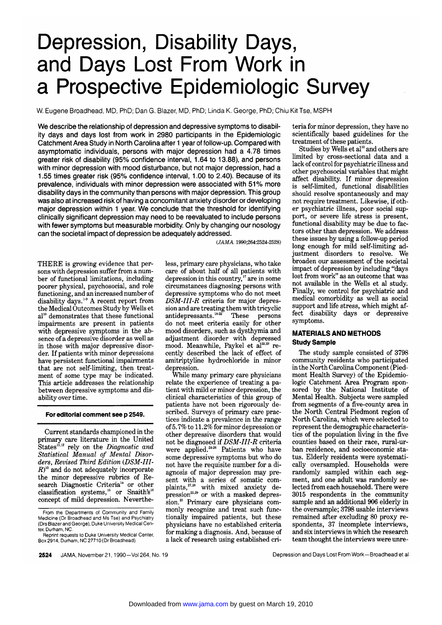# Depression, Disability Days, and Days Lost From Work in a Prospective Epidemiologic Survey

W. Eugene Broadhead, MD, PhD; Dan G. Blazer, MD, PhD; Linda K. George, PhD; Chiu Kit Tse, MSPH

We describe the relationship of depression and depressive symptoms to disability days and days lost from work in 2980 participants in the Epidemiologic Catchment Area Study in North Carolina after <sup>1</sup> year of follow-up. Compared with asymptomatic individuals, persons with major depression had a 4.78 times greater risk of disability (95% confidence interval, 1.64 to 13.88), and persons with minor depression with mood disturbance, but not major depression, had <sup>a</sup> 1.55 times greater risk (95% confidence interval, 1.00 to 2.40). Because of its prevalence, individuals with minor depression were associated with 51% more disability days in the community than persons with major depression. This group was also at increased risk of having a concomitant anxiety disorder or developing major depression within <sup>1</sup> year. We conclude that the threshold for identifying clinically significant depression may need to be reevaluated to include persons with fewer symptoms but measurable morbidity. Only by changing our nosology can the societal impact of depression be adequately addressed.

THERE is growing evidence that persons with depression suffer from <sup>a</sup> num ber of functional limitations, including poorer physical, psychosocial, and role functioning, and an increased number of disability days.1'9 A recent report from the Medical Outcomes Study by Wells et al<sup>10</sup> demonstrates that these functional impairments are present in patients with depressive symptoms in the absence of <sup>a</sup> depressive disorder as well as in those with major depressive disorder. If patients with minor depressions have persistent functional impairments that are not self-limiting, then treatment of some type may be indicated. This article addresses the relationship between depressive symptoms and dis ability over time.

#### For editorial comment see p 2549.

Current standards championed in the primary care literature in the United States<sup>11,12</sup> rely on the Diagnostic and Statistical Manual of Mental Disorders, Revised Third Edition (DSM-III- $(R)^{3}$  and do not adequately incorporate the minor depressive rubrics of Research Diagnostic Criteria<sup>14</sup> or other classification systems,<sup>15</sup> or Snaith's<sup>16</sup> concept of mild depression. Neverthe(JAMA. 1990;264:2524-2528)

less, primary care physicians, who take care of about half of all patients with depression in this country,<sup>17</sup> are in some circumstances diagnosing persons with depressive symptoms who do not meet  $D\tilde{S}M$ -III-R criteria for major depression and are treating them with tricyclic<br>antidepressants.<sup>1822</sup> These persons antidepressants. $18-22$ do not meet criteria easily for other mood disorders, such as dysthymia and adjustment disorder with depressed mood. Meanwhile, Paykel et  $a^{22.23}$  recently described the lack of effect of amitriptyline hydrochloride in minor depression.

While many primary care physicians relate the experience of treating <sup>a</sup> pa tient with mild or minor depression, the clinical characteristics of this group of patients have not been rigorously described. Surveys of primary care practices indicate <sup>a</sup> prevalence in the range of5.7% to 11.2% for minor depression or other depressive disorders that would not be diagnosed if DSM-III-R criteria were applied.<sup>24-26</sup> Patients who have some depressive symptoms but who do not have the requisite number for a diagnosis of major depression may present with a series of somatic com-<br>plaints,<sup> $^{7,28}$ </sup> with mixed anxiety deplaints, $^{27,28}$  with mixed anxiety de $pression^{25,29}$  or with a masked depression.<sup>25</sup> Primary care physicians commonly recognize and treat such functionally impaired patients, but these physicians have no established criteria for making <sup>a</sup> diagnosis. And, because of <sup>a</sup> lack of research using established criteria for minor depression, they have no scientifically based guidelines for the treatment of these patients.

Studies by Wells et al<sup>10</sup> and others are limited by cross-sectional data and <sup>a</sup> lack of control for psychiatric illness and other psychosocial variables that might affect disability. If minor depression is self-limited, functional disabilities should resolve spontaneously and may not require treatment. Likewise, if other psychiatric illness, poor social support, or severe life stress is present, functional disability may be due to factors other than depression. We address these issues by using <sup>a</sup> follow-up period long enough for mild self-limiting ad-<br>iustment disorders to resolve. We justment disorders to resolve. broaden our assessment of the societal impact of depression by including "days lost from work" as an outcome that was not available in the Wells et al study. Finally, we control for psychiatric and medical comorbidity as well as social support and life stress, which might affect disability days or depressive symptoms.

## MATERIALS AND METHODS Study Sample

The study sample consisted of 3798 community residents who participated in the North Carolina Component (Piedmont Health Survey) of the Epidemiologic Catchment Area Program sponsored by the National Institute of Mental Health. Subjects were sampled from segments of <sup>a</sup> five-county area in the North Central Piedmont region of North Carolina, which were selected to represent the demographic characteristics of the population living in the five counties based on their race, rural-urban residence, and socioeconomic status. Elderly residents were systematically oversampled. Households were randomly sampled within each segment, and one adult was randomly selected from each household. There were 3015 respondents in the community sample and an additional <sup>906</sup> elderly in the oversample; 3798 usable interviews remained after excluding 80 proxy respondents, 37 incomplete interviews, and six interviews in which the research team thought the interviews were unre-

2524 JAMA, November 21, 1990-Vol 264, No. 19 Depression and Days Lost From Work-Broadhead et al

From the Departments of Community and Family Medicine (Dr Broadhead and Ms Tse) and Psychiatry (Drs Blazer and George), Duke University Medical Center, Durham, NC.

Reprint requests to Duke University Medical Center, Box 2914, Durham, NC 27710 (Dr Broadhead).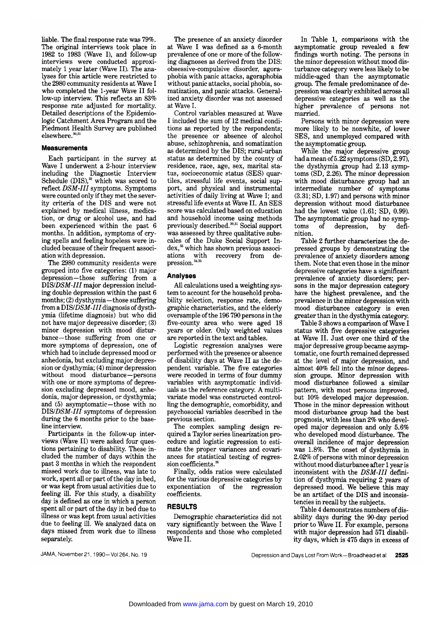liable. The final response rate was 79%. The original interviews took place in 1982 to 1983 (Wave I), and follow-up interviews were conducted approximately 1 year later (Wave II). The analyses for this article were restricted to the <sup>2980</sup> community residents at Wave I who completed the 1-year Wave II follow-up interview. This reflects an 83% response rate adjusted for mortality. Detailed descriptions of the Epidemiologie Catchment Area Program and the Piedmont Health Survey are published elsewhere.<sup>30,31</sup>

### Measurements

Each participant in the survey at Wave I underwent <sup>a</sup> 2-hour interview including the Diagnostic Interview Schedule  $(DIS)$ ,<sup>32</sup> which was scored to reflect DSM-III symptoms. Symptoms were counted only if they met the severity criteria of the DIS and were not explained by medical illness, medication, or drug or alcohol use, and had been experienced within the past <sup>6</sup> months. In addition, symptoms of crying spells and feeling hopeless were included because of their frequent association with depression.

The 2980 community residents were grouped into five categories: (1) major depression—those suffering from a DIS/DSM-III major depression including double depression within the past <sup>6</sup> months; (2) dysthymia—those suffering from a  $DIS/DSM-III$  diagnosis of dysthymia (lifetime diagnosis) but who did not have major depressive disorder; (3) minor depression with mood disturbance—those suffering from one or more symptoms of depression, one of which had to include depressed mood or anhedonia, but excluding major depression or dysthymia; (4) minor depression without mood disturbance—persons with one or more symptoms of depression excluding depressed mood, anhedonia, major depression, or dysthymia; and (5) asymptomatic—those with no DIS/DSM-III symptoms of depression during the 6 months prior to the baseline interview.

Participants in the follow-up interviews (Wave II) were asked four questions pertaining to disability. These in cluded the number of days within the past <sup>3</sup> months in which the respondent missed work due to illness, was late to work, spent all or part of the day in bed, or was kept from usual activities due to feeling ill. For this study, <sup>a</sup> disability day is defined as one in which <sup>a</sup> person spent all or part of the day in bed due to illness or was kept from usual activities due to feeling ill. We analyzed data on days missed from work due to illness separately.

The presence of an anxiety disorder at Wave I was defined as <sup>a</sup> 6-month prevalence of one or more of the following diagnoses as derived from the DIS: obsessive-compulsive disorder, agoraphobia with panic attacks, agoraphobia without panic attacks, social phobia, somatization, and panic attacks. Generalized anxiety disorder was not assessed at Wave I.

Control variables measured at Wave I included the sum of 12 medical conditions as reported by the respondents; the presence or absence of alcohol abuse, schizophrenia, and somatization as determined by the DIS; rural-urban status as determined by the county of residence, race, age, sex, marital status, socioeconomic status (SES) quartiles, stressful life events, social support, and physical and instrumental activities of daily living at Wave I; and stressful life events at Wave II. An SES score was calculated based on education and household income using methods previously described.<sup>30,31</sup> Social support was assessed by three qualitative subscales of the Duke Social Support In dex,<sup>33</sup> which has shown previous associ-<br>ations with recovery from deations with recovery from depression.

#### Analyses

All calculations used a weighting system to account for the household probability selection, response rate, demographic characteristics, and the elderly oversample ofthe <sup>196</sup> 790 persons in the five-county area who were aged <sup>18</sup> years or older. Only weighted values are reported in the text and tables.

Logistic regression analyses were performed with the presence or absence of disability days at Wave II as the de pendent variable. The five categories were recoded in terms of four dummy variables with asymptomatic individuals as the reference category. A multivariate model was constructed controlling the demographic, comorbidity, and psychosocial variables described in the previous section.

The complex sampling design required <sup>a</sup> Taylor series linearization pro cedure and logistic regression to estimate the proper variances and covariances for statistical testing of regression coefficients.<sup>36</sup>

Finally, odds ratios were calculated for the various depressive categories by exponentiation of the regression coefficients.

## RESULTS

Demographic characteristics did not vary significantly between the Wave I respondents and those who completed Wave II.

In Table 1, comparisons with the asymptomatic group revealed <sup>a</sup> few findings worth noting. The persons in the minor depression without mood disturbance category were less likely to be middle-aged than the asymptomatic group. The female predominance of de pression was clearly exhibited across all depressive categories as well as the higher prevalence of persons not married.

Persons with minor depression were more likely to be nonwhite, of lower SES, and unemployed compared with the asymptomatic group.

While the major depressive group had a mean of  $5.22$  symptoms  $(SD, 2.97)$ , the dysthymia group had 2.13 symptoms (SD, 2.26). The minor depression with mood disturbance group had an intermediate number of symptoms (3.31; SD, 1.97) and persons with minor depression without mood disturbance had the lowest value (1.61; SD, 0.99). The asymptomatic group had no symptoms of depression, by defidepression, nition.

Table 2 further characterizes the depressed groups by demonstrating the prevalence of anxiety disorders among them. Note that even those in the minor depressive categories have a significant prevalence of anxiety disorders; persons in the major depression category have the highest prevalence, and the prevalence in the minor depression with mood disturbance category is even greater than in the dysthymia category.

Table <sup>3</sup> shows <sup>a</sup> comparison of Wave I status with five depressive categories at Wave II. Just over one third of the major depressive group became asymptomatic, one fourth remained depressed at the level of major depression, and almost 40% fell into the minor depression groups. Minor depression with mood disturbance followed a similar pattern, with most persons improved, but 10% developed major depression. Those in the minor depression without mood disturbance group had the best prognosis, with less than 2% who developed major depression and only 5.6% who developed mood disturbance. The overall incidence of major depression was 1.8%. The onset of dysthymia in 2.02% of persons with minor depression without mood disturbance after <sup>1</sup> year is inconsistent with the  $DSM-III$  definition of dysthymia requiring <sup>2</sup> years of depressed mood. We believe this may be an artifact of the DIS and inconsistencies in recall by the subjects.

Table 4 demonstrates numbers of disability days during the 90-day period prior to Wave II. For example, persons with major depression had 571 disability days, which is 475 days in excess of

JAMA, November 21, 1990-Vol 264, No. 19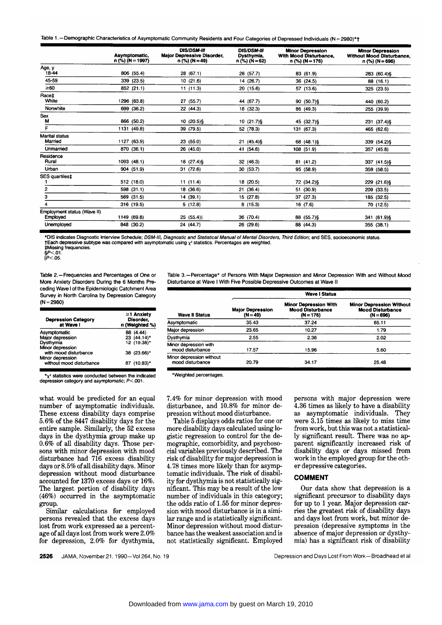|  |  |  |  | Table 1. - Demographic Characteristics of Asymptomatic Community Residents and Four Categories of Depressed Individuals (N = 2980)*' |  |  |  |  |
|--|--|--|--|--------------------------------------------------------------------------------------------------------------------------------------|--|--|--|--|
|--|--|--|--|--------------------------------------------------------------------------------------------------------------------------------------|--|--|--|--|

|                                         | Asymptomatic,<br>$n$ (%) (N = 1997) | <b>DIS/DSM-III</b><br><b>Major Depressive Disorder,</b><br>$n$ (%) (N = 49) | <b>DIS/DSM-III</b><br><b>Dysthymia.</b><br>$n$ (%) (N = 62) | <b>Minor Depression</b><br>With Mood Disturbance,<br>n (%) (N = 176) | <b>Minor Depression</b><br><b>Without Mood Disturbance</b><br>n (%) (N = 696) |
|-----------------------------------------|-------------------------------------|-----------------------------------------------------------------------------|-------------------------------------------------------------|----------------------------------------------------------------------|-------------------------------------------------------------------------------|
| Age, y                                  |                                     |                                                                             |                                                             |                                                                      |                                                                               |
| 18-44                                   | 806 (55.4)                          | 28 (67.1)                                                                   | 28 (57.7)                                                   | 83 (61.9)                                                            | 283 (60.4) §                                                                  |
| 45-59                                   | 339<br>(23.5)                       | 10(21.6)                                                                    | 14 (26.7)                                                   | 36 (24.5)                                                            | 88 (16.1)                                                                     |
| $\geq 60$                               | 852 (21.1)                          | 11(11.3)                                                                    | 20(15.6)                                                    | 57 (13.6)                                                            | 325 (23.5)                                                                    |
| Racet<br>White                          | 1296 (63.8)                         | 27 (55.7)                                                                   | 44 (67.7)                                                   | 90 (50.7) §                                                          | 440 (60.2)                                                                    |
| Nonwhite                                | 699 (36.2)                          | 22 (44.3)                                                                   | 18 (32.3)                                                   | 86 (49.3)                                                            | 255 (39.9)                                                                    |
| Sex<br>М                                | 866 (50.2)                          | 10 (20.5) §                                                                 | 10 (21.7)§                                                  | 45 (32.7) §                                                          | 231 (37.4) §                                                                  |
| F                                       | 1131 (49.8)                         | 39 (79.5)                                                                   | 52 (78.3)                                                   | 131 (67.3)                                                           | 465 (62.6)                                                                    |
| <b>Marital status</b><br>Married        | 1127 (63.9)                         | 23 (55.0)                                                                   | 21 (45.4) §                                                 | 68 (48.1) §                                                          | 339 (54.2)§                                                                   |
| Unmarried                               | 870 (36.1)                          | 26 (45.0)                                                                   | 41 (54.6)                                                   | 108 (51.9)                                                           | 357 (45.8)                                                                    |
| Residence<br>Rural                      | 1093 (48.1)                         | 18 (27.4)§                                                                  | 32 (46.3)                                                   | 81 (41.2)                                                            | 337 (41.5) §                                                                  |
| Urban                                   | 904 (51.9)                          | 31(72.6)                                                                    | 30 (53.7)                                                   | 95 (58.9)                                                            | 359 (58.5)                                                                    |
| SES quartiles‡                          | 512 (18.0)                          | 11(11.4)                                                                    | 18 (20.5)                                                   | 72 (34.2) §                                                          | 229 (21.6)§                                                                   |
| 2                                       | 598 (31.1)                          | 18 (36.6)                                                                   | 21 (36.4)                                                   | 51 (30.9)                                                            | 209 (33.5)                                                                    |
| з                                       | 569 (31.5)                          | 14 (39.1)                                                                   | 15 (27.8)                                                   | 37 (27.3)                                                            | 185 (32.5)                                                                    |
| 4                                       | 316 (19.5)                          | 5(12.8)                                                                     | 8(15.3)                                                     | 16(7.6)                                                              | 70 (12.5)                                                                     |
| Employment status (Wave II)<br>Employed | 1149 (69.8)                         | 25(55.4)                                                                    | 36 (70.4)                                                   | 88 (55.7) §                                                          | 341 (61.9)§                                                                   |
| Unemployed                              | 848 (30.2)                          | 24 (44.7)                                                                   | 26 (29.6)                                                   | 88 (44.3)                                                            | 355 (38.1)                                                                    |

\*DIS indicates Diagnostic Interview Schedule; DSM-III, Diagnostic and Statistical Manual of Mental Disorders, Third Edition; and SES, socioeconomic status.  $\uparrow$  Each depressive subtype was compared with asymptomatic using  $\chi^2$  statistics. Percentages are weighted. tMissing frequencies.

 $$P<.01$ .  $|P<.05.$ 

Table 2.—Frequencies and Percentages of One or More Anxiety Disorders During the 6 Months Pre ceding Wave <sup>I</sup> of the Epidemiologie Catchment Area Survey in North Carolina by Depression Category (N = 2980)

| <b>Depression Category</b><br>at Wave I      | ≥1 Anxiety<br>Disorder,<br>n (Weighted %) |
|----------------------------------------------|-------------------------------------------|
| Asymptomatic                                 | 88 (4.44)                                 |
| Major depression                             | 23 (44.14)*                               |
| Dysthymia                                    | 12 (19.38)*                               |
| Minor depression<br>with mood disturbance    | 38 (23.66)*                               |
| Minor depression<br>without mood disturbance | 87 (10.83)*                               |

 $*_X^2$  statistics were conducted between the indicated depression category and asymptomatic; P<.001.

what would be predicted for an equal number of asymptomatic individuals. These excess disability days comprise 5.6% of the <sup>8447</sup> disability days for the entire sample. Similarly, the <sup>52</sup> excess days in the dysthymia group make up  $0.6\%$  of all disability days. Those persons with minor depression with mood disturbance had 716 excess disability days or 8.5% ofall disability days. Minor depression without mood disturbance accounted for <sup>1370</sup> excess days or 16%. The largest portion of disability days (46%) occurred in the asymptomatic group.

Similar calculations for employed persons revealed that the excess days lost from work expressed as a percentage ofall days lost from work were 2.0% for depression, 2.0% for dysthymia,

Table 3.—Percentage\* of Persons With Major Depression and Minor Depression With and Without Mood Disturbance at Wave <sup>I</sup> With Five Possible Depressive Outcomes at Wave II

|                                              | <b>Wave I Status</b>                  |                                                                        |                                                                           |  |  |
|----------------------------------------------|---------------------------------------|------------------------------------------------------------------------|---------------------------------------------------------------------------|--|--|
| Wave II Status                               | <b>Major Depression</b><br>$(N = 49)$ | <b>Minor Depression With</b><br><b>Mood Disturbance</b><br>$(N = 176)$ | <b>Minor Depression Without</b><br><b>Mood Disturbance</b><br>$(N = 696)$ |  |  |
| Asymptomatic                                 | 35.43                                 | 37.24                                                                  | 65.11                                                                     |  |  |
| Major depression                             | 23.65                                 | 10.27                                                                  | 1.79                                                                      |  |  |
| Dysthymia                                    | 2.55                                  | 2.36                                                                   | 2.02                                                                      |  |  |
| Minor depression with<br>mood disturbance    | 17.57                                 | 15.96                                                                  | 5.60                                                                      |  |  |
| Minor depression without<br>mood disturbance | 20.79                                 | 34 17                                                                  | 25.48                                                                     |  |  |

•Weighted percentages.

7.4% for minor depression with mood disturbance, and 10.8% for minor depression without mood disturbance.

Table <sup>5</sup> displays odds ratios for one or more disability days calculated using logistic regression to control for the de mographic, comorbidity, and psychosocial variables previously described. The risk of disability for major depression is 4.78 times more likely than for asymptomatic individuals. The risk of disability for dysthymia is not statistically significant. This may be <sup>a</sup> result of the low number of individuals in this category; the odds ratio of 1.55 for minor depression with mood disturbance is in a similar range and is statistically significant. Minor depression without mood disturbance has the weakest association and is not statistically significant. Employed persons with major depression were 4.36 times as likely to have <sup>a</sup> disability as asymptomatic individuals. They were 3.15 times as likely to miss time from work, but this was not a statistically significant result. There was no ap parent significantly increased risk of disability days or days missed from work in the employed group for the other depressive categories.

## COMMENT

Our data show that depression is <sup>a</sup> significant precursor to disability days for up to 1 year. Major depression carries the greatest risk of disability days and days lost from work, but minor depression (depressive symptoms in the absence of major depression or dysthymia) has <sup>a</sup> significant risk of disability

2526 JAMA, November 21, 1990-Vol 264, No. 19 Depression and Days Lost From Work-Broadhead et al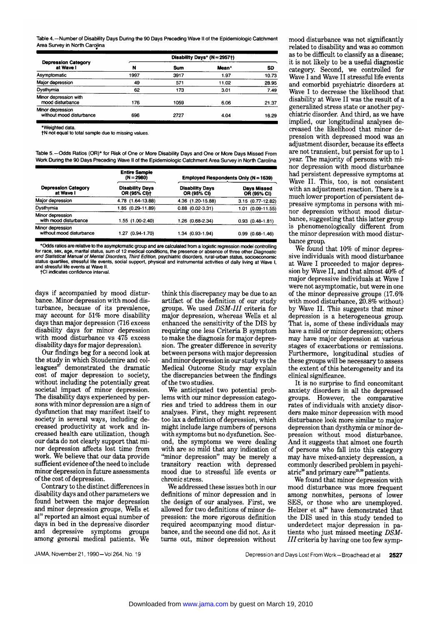Table 4.—Number of Disability Days During the 90 Days Preceding Wave II of the Epidemiologie Catchment Area Survey in North Carolina

| Table 4. -- Number of Disability Days During the 90 Days Preceding Wave II of the Epidemiologic Catchment<br>Area Survey in North Carolina |                               |      |       |       |  |  |
|--------------------------------------------------------------------------------------------------------------------------------------------|-------------------------------|------|-------|-------|--|--|
|                                                                                                                                            | Disability Days* $(N = 2957)$ |      |       |       |  |  |
| <b>Depression Category</b><br>at Wave I                                                                                                    | N                             | Sum  | Mean* | SD    |  |  |
| Asymptomatic                                                                                                                               | 1997                          | 3917 | 1.97  | 10.73 |  |  |
| Major depression                                                                                                                           | 49                            | 571  | 11.02 | 28.95 |  |  |
| Dysthymia                                                                                                                                  | 62                            | 173  | 3.01  | 7.49  |  |  |
| Minor depression with<br>mood disturbance                                                                                                  | 176                           | 1059 | 6.06  | 21.37 |  |  |
| Minor depression<br>without mood disturbance                                                                                               | 696                           | 2727 | 4.04  | 16.29 |  |  |

•Weighted data.

fN not equal to total sample due to missing values.

Table 5—Odds Ratios (OR)\* for Risk of One or More Disability Days and One or More Days Missed From Work During the 90 Days Preceding Wave II of the Epidemiologie Catchment Area Survey in North Carolina

|                                              | <b>Entire Sample</b><br>$(N = 2980)$ |                                       | Employed Respondents Only (N = 1639) |  |  |
|----------------------------------------------|--------------------------------------|---------------------------------------|--------------------------------------|--|--|
| <b>Depression Category</b><br>at Wave I      | Disability Days<br>OR (95% CI)+      | <b>Disability Days</b><br>OR (95% CI) | Days Missed<br>OR (95% CI)           |  |  |
| Major depression                             | 4.78 (1.64-13.88)                    | 4.36 (1.20-15.88)                     | 3.15 (0.77-12.82)                    |  |  |
| Dysthymia                                    | 1.85 (0.29-11.89)                    | $0.88$ $(0.02 - 3.31)$                | 1.01 (0.09-11.55)                    |  |  |
| Minor depression<br>with mood disturbance    | 1.55 (1.00-2.40)                     | $1.26(0.68-2.34)$                     | $0.93(0.48-1.81)$                    |  |  |
| Minor depression<br>without mood disturbance | 1.27 (0.94-1.70)                     | $.34(0.93-1.94)$                      | $0.99(0.68-1.46)$                    |  |  |

\*Odds ratios are relative to the asymptomatic group and are calculated from a logistic regression model controlling<br>for race, sex, age, marital status, sum of 12 medical conditions, the presence or absence of three other D status quartiles, stressful life events, social support, physical and instrumental activities of daily living at Wave I, and stressful life events at Wave II.

tCI indicates confidence interval.

days if accompanied by mood disturbance. Minor depression with mood dis turbance, because of its prevalence, may account for 51% more disability days than major depression (716 excess disability days for minor depression with mood disturbance vs 475 excess disability days for major depression).

Our findings beg for <sup>a</sup> second look at the study in which Stoudemire and colleagues<sup>37</sup> demonstrated the dramatic cost of major depression to society, without including the potentially great societal impact of minor depression. The disability days experienced by persons with minor depression are <sup>a</sup> sign of dysfunction that may manifest itself to society in several ways, including decreased productivity at work and in creased health care utilization, though our data do not clearly support that minor depression affects lost time from work. We believe that our data provide sufficient evidence of the need to include minor depression in future assessments of the cost of depression.

Contrary to the distinct differences in disability days and other parameters we found between the major depression and minor depression groups, Wells et al<sup>10</sup> reported an almost equal number of days in bed in the depressive disorder<br>and depressive symptoms groups depressive symptoms groups among general medical patients. We

think this discrepancy may be due to an artifact of the definition of our study groups. We used DSM-III criteria for major depression, whereas Wells et al enhanced the sensitivity of the DIS by requiring one less Criteria <sup>B</sup> symptom to make the diagnosis for major depression. The greater difference in severity between persons with major depression and minor depression in our study vs the Medical Outcome Study may explain the discrepancies between the findings of the two studies.

We anticipated two potential problems with our minor depression categories and tried to address them in our analyses. First, they might represent too lax <sup>a</sup> definition of depression, which might include large numbers of persons with symptoms but no dysfunction. Second, the symptoms we were dealing with are so mild that any indication of "minor depression" may be merely a transitory reaction with depressed mood due to stressful life events or chronic stress.

We addressed these issues both in our definitions of minor depression and in the design of our analyses. First, we allowed for two definitions of minor depression: the more rigorous definition required accompanying mood disturbance, and the second one did not. As it turns out, minor depression without mood disturbance was not significantly related to disability and was so common as to be difficult to classify as <sup>a</sup> disease; it is not likely to be <sup>a</sup> useful diagnostic category. Second, we controlled for Wave I and Wave II stressful life events and comorbid psychiatric disorders at Wave I to decrease the likelihood that disability at Wave II was the result of <sup>a</sup> generalized stress state or another psychiatric disorder. And third, as we have implied, our longitudinal analyses decreased the likelihood that minor depression with depressed mood was an adjustment disorder, because its effects are not transient, but persist for up to <sup>1</sup> year. The majority of persons with mi nor depression with mood disturbance had persistent depressive symptoms at Wave II. This, too, is not consistent with an adjustment reaction. There is <sup>a</sup> much lower proportion of persistent depressive symptoms in persons with mi nor depression without mood disturbance, suggesting that this latter group is phenomenologically different from the minor depression with mood disturbance group.

We found that 10% of minor depressive individuals with mood disturbance at Wave I proceeded to major depression by Wave II, and that almost  $40\%$  of major depressive individuals at Wave I were not asymptomatic, but were in one of the minor depressive groups (17.6% with mood disturbance, 20.8% without) by Wave II. This suggests that minor depression is <sup>a</sup> heterogeneous group. That is, some of these individuals may have <sup>a</sup> mild or minor depression; others may have major depression at various stages of exacerbations or remissions. Furthermore, longitudinal studies of these groups will be necessary to assess the extent of this heterogeneity and its clinical significance.

It is no surprise to find concomitant anxiety disorders in all the depressed groups. However, the comparative rates of individuals with anxiety disorders make minor depression with mood disturbance look more similar to major depression than dysthymia or minor depression without mood disturbance. And it suggests that almost one fourth of persons who fall into this category may have mixed-anxiety depression, a<br>commonly described problem in psychiatric<sup>38</sup> and primary care<sup>25,39</sup> patients.

We found that minor depression with mood disturbance was more frequent among nonwhites, persons of lower<br>SES, or those who are unemploved. Helzer et al<sup>40</sup> have demonstrated that the DIS used in this study tended to underdetect major depression in patients who just missed meeting DSM-III criteria by having one too few symp-

JAMA, November 21, 1990-Vol 264, No. 19